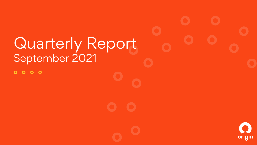# Quarterly Report September 2021 $0000$ origin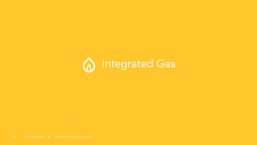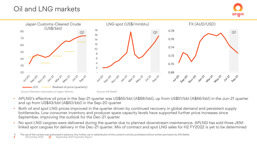## Oil and LNG markets



- APLNG's effective oil price in the Sep-21 quarter was US\$65/bbl (A\$88/bbl), up from US\$51/bbl (A\$66/bbl) in the Jun-21 quarter and up from US\$43/bbl (A\$60/bbl) in the Sep-20 quarter
- Both oil and spot LNG prices improved in the quarter driven by continued recovery in global demand and persistent supply bottlenecks. Low consumer inventory and producer spare capacity levels have supported further price increases since September, improving the outlook for the Dec-21 quarter
- No spot LNG cargoes were delivered during the quarter due to planned downstream maintenance. APLNG has sold three JKMlinked spot cargoes for delivery in the Dec-21 quarter. Mix of contract and spot LNG sales for H2 FY2022 is yet to be determined

1) The use of this content was authorised in advance. Any further use or redistribution of this content is strictly prohibited without written permission by IHS Markit.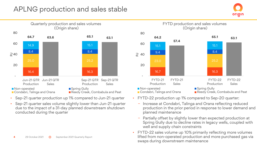## APLNG production and sales stable





- Sep-21 quarter production up 1% compared to Jun-21 quarter
- Sep-21 quarter sales volume slightly lower than Jun-21 quarter due to the impact of a 31-day planned downstream shutdown conducted during the quarter

#### **4** 29 October 2021 **O** September 2021 Quarterly Report





- FYTD-22 production up 1% compared to Sep-20 quarter:
	- − Increase at Condabri, Talinga and Orana reflecting reduced production in the prior period in response to lower demand and planned maintenance
	- − Partially offset by slightly lower than expected production at Spring Gully due to decline rates in legacy wells, coupled with well and supply chain constraints
- FYTD-22 sales volume up 10% primarily reflecting more volumes lifted from non-operated production and more purchased gas via swaps during downstream maintenance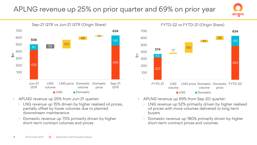## APLNG revenue up 25% on prior quarter and 69% on prior year

 $\frac{E}{4}$ 



- APLNG revenue up 25% from Jun-21 quarter:
	- − LNG revenue up 15% driven by higher realised oil prices, partially offset by lower volumes due to planned downstream maintenance
	- Domestic revenue up 75% primarily driven by higher short-term contract volumes and prices



- APLNG revenue up 69% from Sep-20 quarter:
	- − LNG revenue up 52% primarily driven by higher realised oil prices with more volumes delivered to long term buyers
	- − Domestic revenue up 180% primarily driven by higher short-term contract prices and volumes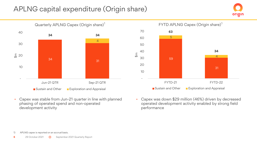## APLNG capital expenditure (Origin share)





• Capex was stable from Jun-21 quarter in line with planned phasing of operated spend and non-operated development activity



• Capex was down \$29 million (46%) driven by decreased operated development activity enabled by strong field performance

- 1) APLNG capex is reported on an accrual basis.
- **6** 29 October 2021 **O** September 2021 Quarterly Report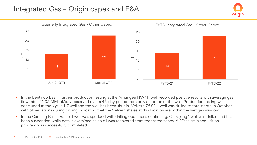## Integrated Gas – Origin capex and E&A



- In the Beetaloo Basin, further production testing at the Amungee NW 1H well recorded positive results with average gas flow rate of 1.02 MMscf/day observed over a 45-day period from only a portion of the well. Production testing was concluded at the Kyalla 117 well and the well has been shut in. Velkerri 76 S2-1 well was drilled to total depth in October with observations during drilling indicating that the Velkerri shales at this location are within the wet gas window
- In the Canning Basin, Rafael 1 well was spudded with drilling operations continuing. Currajong 1 well was drilled and has been suspended while data is examined as no oil was recovered from the tested zones. A 2D seismic acquisition program was successfully completed

 $\epsilon$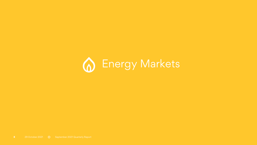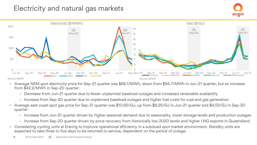## Electricity and natural gas markets



- Average NEM spot electricity price for Sep-21 quarter was \$66.1/MWh, down from \$94.7/MWh in Jun-21 quarter, but an increase from \$42.2/MWh in Sep-20 quarter:
	- Decrease from Jun-21 quarter due to fewer unplanned baseload outages and increased renewable availability
	- Increase from Sep-20 quarter due to unplanned baseload outages and higher fuel costs for coal and gas generation
- Average east coast spot gas price for Sep-21 quarter was \$10.65/GJ, up from \$8.25/GJ in Jun-21 quarter and \$4.53/GJ in Sep-20 quarter:
	- Increase from Jun-21 quarter driven by higher seasonal demand due to seasonality, lower storage levels and production outages
	- Increase from Sep-20 quarter driven by price recovery from historically low 2020 levels and higher LNG exports in Queensland
- Considering cycling units at Eraring to improve operational efficiency in a subdued spot market environment. Standby units are expected to take three to five days to be returned to service, dependent on the period of outage.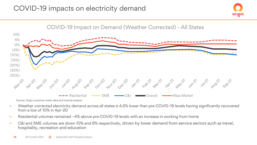



## COVID-19 Impact on Demand (Weather Corrected) - All States

Source: Origin customer meter data and internal analysis

- Weather corrected electricity demand across all states is 4.5% lower than pre COVID-19 levels having significantly recovered from a low of 10% in Apr-20
- Residential volumes remained ~4% above pre COVID-19 levels with an increase in working from home
- C&I and SME volumes are down 10% and 8% respectively, driven by lower demand from service sectors such as travel, hospitality, recreation and education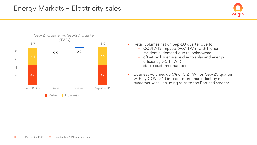

- **8.9** Retail volumes flat on Sep-20 quarter due to
	- COVID-19 impacts (+0.1 TWh) with higher residential demand due to lockdowns;
	- offset by lower usage due to solar and energy efficiency (-0.1 TWh)

- stable customer numbers
- Business volumes up 6% or 0.2 TWh on Sep-20 quarter with by COVID-19 impacts more than offset by net customer wins, including sales to the Portland smelter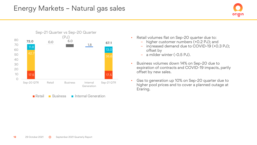

- Retail volumes flat on Sep-20 quarter due to:
	- higher customer numbers (+0.2 PJ); and
	- increased demand due to COVID-19 (+0.3 PJ); offset by

- a milder winter (-0.5 PJ).
- Business volumes down 14% on Sep-20 due to expiration of contracts and COVID-19 impacts, partly offset by new sales.
- Gas to generation up 10% on Sep-20 quarter due to higher pool prices and to cover a planned outage at Eraring.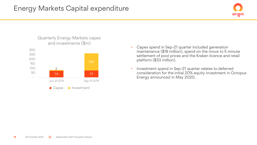

#### Quarterly Energy Markets capex and investments (\$m)



- Capex spend in Sep-21 quarter included generation maintenance (\$18 million), spend on the move to 5 minute settlement of pool prices and the Kraken licence and retail platform (\$33 million).
- Investment spend in Sep-21 quarter relates to deferred consideration for the initial 20% equity investment in Octopus Energy announced in May 2020.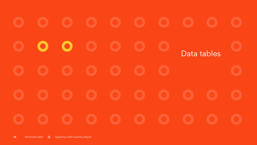$\bullet$  $\bullet$ Data tables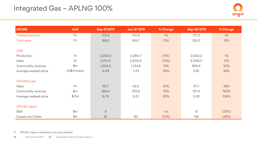| <b>APLNG</b>             | <b>Unit</b>  | Sep-21QTR     | <b>Jun-21QTR</b>         | % Change | Sep-20 QTR | % Change |
|--------------------------|--------------|---------------|--------------------------|----------|------------|----------|
| <b>Total production</b>  | PJ           | 173.6         | 172.6                    | 1%       | 171.3      | $1\%$    |
| <b>Total sales</b>       | PJ           | 168.2         | 169.7                    | (1%)     | 153.0      | 10%      |
|                          |              |               |                          |          |            |          |
| <b>LNG</b>               |              |               |                          |          |            |          |
| Production               | kt           | 2,030.3       | 2,284.7                  | (11%)    | 2,002.2    | $1\%$    |
| Sales                    | kt           | 2,011.4       | 2,300.4                  | (13%)    | 2,008.3    | 0%       |
| Commodity revenue        | \$m\$        | 1,304.6       | 1,133.8                  | 15%      | 859.5      | 52%      |
| Average realised price   | US\$/mmbtu   | 9.09          | 7.23                     | 26%      | 5.81       | 56%      |
|                          |              |               |                          |          |            |          |
| Domestic gas             |              |               |                          |          |            |          |
| Sales                    | PJ           | 56.7          | 42.2                     | 34%      | 41.7       | 36%      |
| Commodity revenue        | \$m\$        | 385.4         | 219.8                    | 75%      | 137.5      | 180%     |
| Average realised price   | $\sqrt{$GJ}$ | 6.79          | 5.21                     | 30%      | 3.30       | 106%     |
|                          |              |               |                          |          |            |          |
| APLNG capex <sup>1</sup> |              |               |                          |          |            |          |
| E&A                      | \$m\$        | $\mathcal{G}$ | $\overline{\phantom{0}}$ | n/a      | 12         | (25%)    |
| Sustain and Other        | \$m\$        | 81            | 90                       | (10%)    | 156        | (48%)    |

1) APLNG capex is reported on an accrual basis.

**15** 29 October 2021 **O** September 2021 Quarterly Report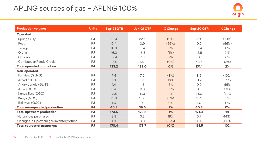## APLNG sources of gas – APLNG 100%



| <b>Production volumes</b>               | <b>Units</b> | Sep-21QTR | Jun-21 QTR | % Change | Sep-20 QTR | % Change |
|-----------------------------------------|--------------|-----------|------------|----------|------------|----------|
| Operated                                |              |           |            |          |            |          |
| Spring Gully                            | PJ           | 22.4      | 22.5       | (0%)     | 25.0       | (10%)    |
| Peat                                    | PJ           | 0.4       | 0.9        | (56%)    | 0.9        | (56%)    |
| Talinga                                 | PJ           | 18.8      | 18.4       | 2%       | 17.4       | 8%       |
| Orana                                   | PJ           | 16.3      | 16.5       | (1%)     | 13.5       | 21%      |
| Condabri                                | PJ           | 32.4      | 31.7       | 2%       | 30.5       | 6%       |
| Combabula/Reedy Creek                   | PJ           | 43.0      | 43.1       | (0%)     | 43.7       | (2%)     |
| <b>Total operated production</b>        | PJ           | 133.2     | 133.0      | 0%       | 131.1      | 2%       |
| Non-operated                            |              |           |            |          |            |          |
| Fairview (GLNG)                         | PJ           | 7.4       | 7.6        | (3%)     | 8.2        | (10%)    |
| Arcadia (GLNG)                          | PJ           | 1.9       | 1.6        | 19%      | 0.7        | 171%     |
| Angry Jungle (GLNG)                     | PJ           | 1.4       | 1.3        | 8%       | 0.9        | 56%      |
| Anya (QGC)                              | PJ           | 0.4       | 0.3        | 33%      | 0.3        | 33%      |
| Kenya East (QGC)                        | PJ           | 12.5      | 11.3       | 11%      | 14.0       | (11%)    |
| Kenya (QGC)                             | PJ           | 15.8      | 16.6       | (5%)     | 15.1       | 5%       |
| Bellevue (QGC)                          | PJ           | 1.0       | 1.0        | O%       | 1.0        | 0%       |
| Total non-operated production           | PJ           | 40.3      | 39.6       | 2%       | 40.3       | 0%       |
| <b>Total upstream production</b>        | PJ           | 173.6     | 172.6      | 1%       | 171.3      | 1%       |
| Natural gas purchases                   | PJ           | 3.8       | 3.2        | 19%      | 0.7        | 443%     |
| Changes in Upstream gas inventory/other | PJ           | 1.0       | 3.0        | (67%)    | (10.5)     | (110%)   |
| <b>Total sources of natural gas</b>     | PJ           | 178.4     | 178.7      | (0%)     | 161.5      | 10%      |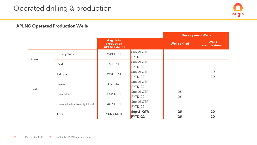### **APLNG Operated Production Wells**

|                         |          |                                                 |            |                          | <b>Development Wells</b>     |
|-------------------------|----------|-------------------------------------------------|------------|--------------------------|------------------------------|
|                         |          | <b>Avg daily</b><br>production<br>(APLNG share) |            | <b>Wells drilled</b>     | <b>Wells</b><br>commissioned |
| Spring Gully            |          | 243 TJ/d                                        | Sep-21 QTR | $\overline{\phantom{0}}$ | $\overline{\phantom{a}}$     |
| Bowen                   |          |                                                 | FYTD-22    | $\overline{\phantom{a}}$ | $\overline{\phantom{a}}$     |
|                         | Peat     | 5 TJ/d                                          | Sep-21 QTR | $\qquad \qquad -$        | $\overline{\phantom{a}}$     |
|                         |          |                                                 | FYTD-22    | $\overline{\phantom{a}}$ | $\overline{\phantom{a}}$     |
| Talinga                 |          | 204 TJ/d                                        | Sep-21 QTR |                          | 20                           |
|                         |          |                                                 | FYTD-22    | $\qquad \qquad -$        | 20                           |
|                         | Orana    | 177 TJ/d                                        | Sep-21 QTR | $\qquad \qquad -$        | $\overline{\phantom{a}}$     |
| Surat                   |          |                                                 | FYTD-22    | $\overline{\phantom{a}}$ | $\overline{\phantom{a}}$     |
|                         | Condabri | 352 TJ/d                                        | Sep-21 QTR | 26                       | $\overline{\phantom{a}}$     |
|                         |          |                                                 | FYTD-22    | 26                       | $\overline{\phantom{a}}$     |
|                         |          |                                                 | Sep-21 QTR | $\overline{\phantom{a}}$ | $\overline{\phantom{a}}$     |
| Combabula / Reedy Creek |          | 467 TJ/d                                        | FYTD-22    | $\overline{\phantom{a}}$ | $\overline{\phantom{a}}$     |
|                         | Total    | 1448 TJ/d                                       | Sep-21QTR  | 26                       | 20                           |
|                         |          |                                                 | FYTD-22    | 26                       | 20                           |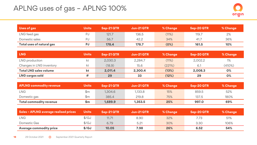## APLNG uses of gas – APLNG 100%

| Uses of gas               | <b>Units</b> | Sep-21QTR | $Jun-21 QTR$ | % Change | Sep-20 QTR | % Change |
|---------------------------|--------------|-----------|--------------|----------|------------|----------|
| LNG feed gas              |              | 121.7     | 136.5        | (11%)    | 119.7      | 2%       |
| Domestic sales            |              | 56.7      | 42.2         | 34%      | 41.7       | 36%      |
| Total uses of natural gas | PJ           | 178.4     | 178.7        | (0%)     | 161.5      | 10%      |

| <b>LNG</b>                    | <b>Units</b> | Sep-21QTR | $Jun-21 QTR$ | % Change | Sep-20 QTR | % Change |
|-------------------------------|--------------|-----------|--------------|----------|------------|----------|
| LNG production                | kt           | 2,030.3   | 2,284.7      | (11%)    | 2.002.2    | 1%       |
| Changes in LNG inventory      | kt           | (18.9)    | 15.6         | (221%)   | 6.1        | (410%)   |
| <b>Total LNG sales volume</b> | kt           | 2.011.4   | 2.300.4      | (13%)    | 2.008.3    | $O\%$    |
| <b>LNG cargos sold</b>        |              | 29        | 33           | (12%)    | 29         | $O\%$    |

| APLNG commodity revenue | <b>Units</b> | Sep-21QTR \ | $Jun-21QTR$ | % Change | Sep-20 QTR | % Change |
|-------------------------|--------------|-------------|-------------|----------|------------|----------|
| LNG                     | \$m          | 1.304.6     | 1.133.8     | 15%      | 859.5      | 52%      |
| Domestic gas            | \$m          | 385.4       | 219.8       | 75%      | 137.5      | 180%     |
| Total commodity revenue | Տm           | 1,689.9     | 1.353.5     | 25%      | 997.0      | 69%      |

| <b>Sales - APLNG average realised prices</b> | <b>Units</b>  | Sep-21QTR \ | $Jun-21 QTR$ | % Change | Sep-20 QTR | % Change |
|----------------------------------------------|---------------|-------------|--------------|----------|------------|----------|
| <b>LNG</b>                                   | $\frac{f}{g}$ | 11.71       | 8.90         | 32%      | 7.73       | 51%      |
| Domestic Gas                                 | $\frac{f}{g}$ | 6.79        | 5.21         | 30%      | 3.30       | 106%     |
| Average commodity price                      | \$/GJ         | 10.05       | 7.98         | 26%      | 6.52       | 54%      |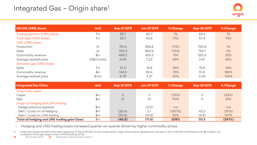## Integrated Gas – Origin share<sup>1</sup>

| <b>APLNG (ORG share)</b>     | <b>Unit</b>       | Sep-21QTR | <b>Jun-21 QTR</b> | % Change | Sep-20 QTR | % Change |
|------------------------------|-------------------|-----------|-------------------|----------|------------|----------|
| Total production (ORG share) | PJ                | 65.1      | 64.7              | $1\%$    | 64.2       | $1\%$    |
| Total sales (ORG share)      | PJ                | 63.1      | 63.6              | (1%)     | 57.4       | 10%      |
| LNG (ORG share)              |                   |           |                   |          |            |          |
| Production                   | kt                | 761.4     | 856.8             | (11%)    | 750.8      | 1%       |
| Sales                        | kt                | 754.3     | 862.6             | (13%)    | 753.1      | $O\%$    |
| Commodity revenue            | $\mathsf{\$m}$    | 489.2     | 425.2             | 15%      | 322.3      | 52%      |
| Average realised price       | US\$/mmbtu        | 9.09      | 7.23              | 26%      | 5.81       | 56%      |
| Domestic gas (ORG share)     |                   |           |                   |          |            |          |
| Sales                        | PJ                | 21.3      | 15.8              | 35%      | 15.6       | 36%      |
| Commodity revenue            | $\mathsf{Sm}$     | 144.5     | 82.4              | 75%      | 51.6       | 180%     |
| Average realised price       | $\frac{1}{2}$ /GJ | 6.79      | 5.21              | 30%      | 3.30       | 106%     |

| Integrated Gas Other                          | Unit           | Sep-21 QTR | Jun-21 QTR | % Change | Sep-20 QTR | % Change |
|-----------------------------------------------|----------------|------------|------------|----------|------------|----------|
| Origin only capex                             |                |            |            |          |            |          |
| Capex                                         | $\mathbb{S}$ m |            | 3          | (33%)    |            | (33%)    |
| E&A                                           | $\mathsf{Sm}$  | 21         | 10         | 110%     |            | 91%      |
| Origin oil hedging and LNG trading            |                |            |            |          |            |          |
| Hedge premium expense                         | \$m            |            | (3.0)      | n/a      | -          | n/a      |
| Gain / (Loss) on oil hedging                  | $\mathsf{Sm}$  | (26.4)     | 2.1        | (1357%)  | 43.2       | (161%)   |
| Gain / (Loss) on LNG trading                  | $\mathbb{S}$ m | (20.5)     | (10.6)     | 93%      | (9.9)      | 107%     |
| Total oil hedging and LNG trading gain/(loss) | $\mathsf{Sm}$  | (46.9)     | (11.5)     | 308%     | 33.3       | (241%)   |

• Hedging and LNG trading losses increased quarter-on-quarter driven by higher commodity prices

1) Origin share presented within this report represents 37.5% of APLNG. On 24 October 2021, Origin announced an agreement for the sale of 10% of APLNG to EIG Partners for \$2.12 billion. On completion of the sale Origin's share of APLNG will be 27.5%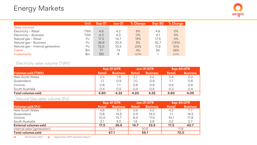|                                   | Unit | <b>Sep-21</b> | $Jun-21$ | % Change | $Sep-20$ | % Change |
|-----------------------------------|------|---------------|----------|----------|----------|----------|
| Sales volumes                     |      |               |          |          |          |          |
| Electricity - Retail              | TWh  | 4.6           | 4.2      | 8%       | 4.6      | $O\%$    |
| Electricity - Business            | TWh  | 4.3           | 4.3      | $O\%$    | 4.1      | 6%       |
| Natural gas - Retail              | PJ   | 17.5          | 14.7     | 19%      | 17.5     | $O\%$    |
| Natural gas - Business            | PJ   | 36.6          | 33.9     | 8%       | 42.7     | (14%)    |
| Natural gas - Internal generation | PJ   | 13.0          | 10.5     | 23%      | 11.8     | 10%      |
| Capex                             | \$m  | 77            | 74       | 4%       | 56       | 38%      |
| Investments                       | \$m  | 189           | 8        | n/m      |          | n/m      |

#### Electricity sales volume (TWh)

|                           | Sep-21QTR     |                 |        | Jun-21QTR       |               | Sep-20 QTR      |
|---------------------------|---------------|-----------------|--------|-----------------|---------------|-----------------|
| <b>Volumes sold (TWh)</b> | <b>Retail</b> | <b>Business</b> | Retail | <b>Business</b> | <b>Retail</b> | <b>Business</b> |
| New South Wales           | 2.3           | 1.9             | 2.7    | 2.2             | 2.4           | 2.0             |
| Queensland                | 1.1           | 0.9             | 1.0    | 0.9             |               | O.8             |
| Victoria                  | 0.8           | 1.1             | 0.8    | 0.8             | O.8           | O.8             |
| South Australia           | 0.4           | 0.5             | O.4    | 0.4             | O.3           | O.4             |
| <b>Total volumes sold</b> | 4.60          | 4.32            | 4.24   | 4.32            | 4.60          | 4.09            |

#### Natural Gas sales volume (PJ)

|                             |               | Sep-21 QTR      | Jun-21 QTR    |                 | Sep-20 QTR    |                 |
|-----------------------------|---------------|-----------------|---------------|-----------------|---------------|-----------------|
| <b>Volumes sold (PJ)</b>    | <b>Retail</b> | <b>Business</b> | <b>Retail</b> | <b>Business</b> | <b>Retail</b> | <b>Business</b> |
| New South Wales             | 4.6           | 5.1             | 3.9           | 5.2             | 4.2           | 7.7             |
| Queensland                  | 0.8           | 14.9            | O.9           | 14.0            | 1.1           | 14.5            |
| Victoria                    | 10.0          | 13.7            | 8.4           | 11.8            | 10.1          | 17.8            |
| South Australia             | 2.1           | 3.0             | 1.6           | 2.8             | 2.2           | 2.7             |
| External volumes sold       | 17.5          | 36.6            | 14.7          | 33.9            | 17.5          | 42.7            |
| Internal sales (generation) | 13.0          |                 | 10.5          |                 |               | 11.8            |
| <b>Total volumes sold</b>   | 67.1          |                 | 59.1          |                 | 72.0          |                 |

20 29 October 2021 **O** September 2021 Quarterly Report